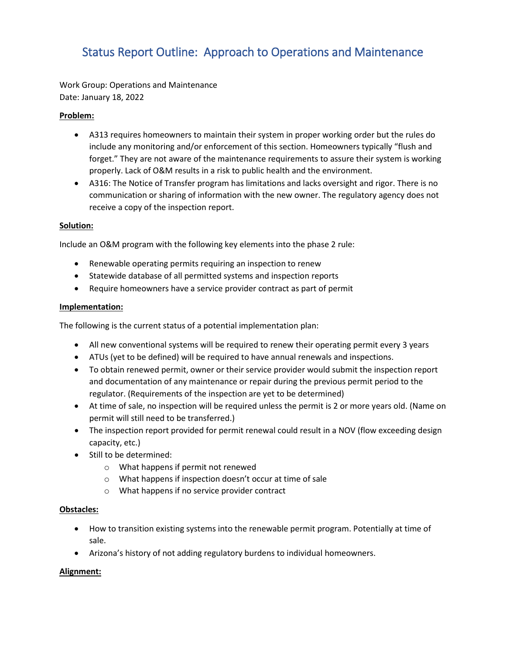# Status Report Outline: Approach to Operations and Maintenance

Work Group: Operations and Maintenance Date: January 18, 2022

## **Problem:**

- A313 requires homeowners to maintain their system in proper working order but the rules do include any monitoring and/or enforcement of this section. Homeowners typically "flush and forget." They are not aware of the maintenance requirements to assure their system is working properly. Lack of O&M results in a risk to public health and the environment.
- A316: The Notice of Transfer program has limitations and lacks oversight and rigor. There is no communication or sharing of information with the new owner. The regulatory agency does not receive a copy of the inspection report.

### **Solution:**

Include an O&M program with the following key elements into the phase 2 rule:

- Renewable operating permits requiring an inspection to renew
- Statewide database of all permitted systems and inspection reports
- Require homeowners have a service provider contract as part of permit

### **Implementation:**

The following is the current status of a potential implementation plan:

- All new conventional systems will be required to renew their operating permit every 3 years
- ATUs (yet to be defined) will be required to have annual renewals and inspections.
- To obtain renewed permit, owner or their service provider would submit the inspection report and documentation of any maintenance or repair during the previous permit period to the regulator. (Requirements of the inspection are yet to be determined)
- At time of sale, no inspection will be required unless the permit is 2 or more years old. (Name on permit will still need to be transferred.)
- The inspection report provided for permit renewal could result in a NOV (flow exceeding design capacity, etc.)
- Still to be determined:
	- o What happens if permit not renewed
	- o What happens if inspection doesn't occur at time of sale
	- o What happens if no service provider contract

### **Obstacles:**

- How to transition existing systems into the renewable permit program. Potentially at time of sale.
- Arizona's history of not adding regulatory burdens to individual homeowners.

### **Alignment:**